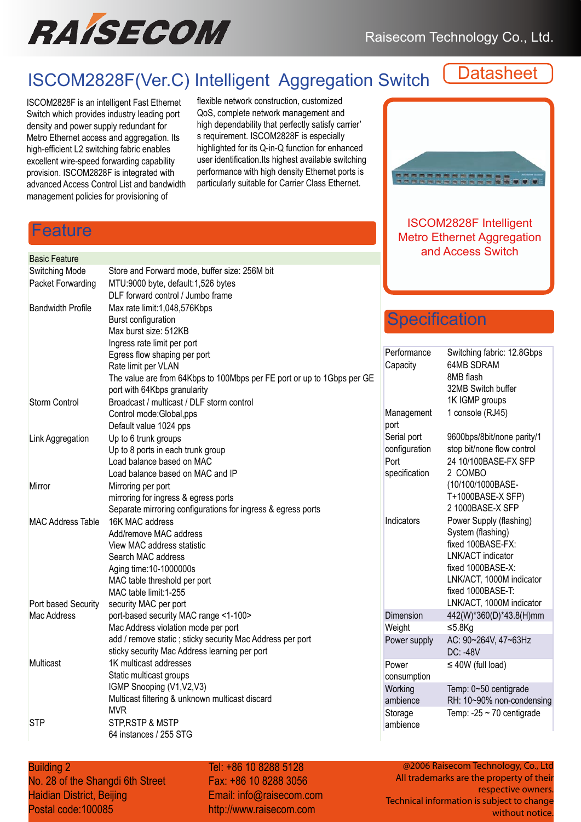

# ISCOM2828F(Ver.C) Intelligent Aggregation Switch

**Datasheet** 

ISCOM2828F is an intelligent Fast Ethernet Switch which provides industry leading port density and power supply redundant for Metro Ethernet access and aggregation. Its high-efficient L2 switching fabric enables excellent wire-speed forwarding capability provision. ISCOM2828F is integrated with advanced Access Control List and bandwidth management policies for provisioning of

flexible network construction, customized QoS, complete network management and high dependability that perfectly satisfy carrier' s requirement. ISCOM2828F is especially highlighted for its Q-in-Q function for enhanced user identification.Its highest available switching performance with high density Ethernet ports is particularly suitable for Carrier Class Ethernet.



ISCOM2828F Intelligent Metro Ethernet Aggregation **Basic Feature**<br>Basic Feature

#### eature

| Switching Mode           | Store and Forward mode, buffer size: 256M bit                          |
|--------------------------|------------------------------------------------------------------------|
| Packet Forwarding        | MTU:9000 byte, default:1,526 bytes                                     |
|                          | DLF forward control / Jumbo frame                                      |
| <b>Bandwidth Profile</b> | Max rate limit:1,048,576Kbps                                           |
|                          | Burst configuration                                                    |
|                          | Max burst size: 512KB                                                  |
|                          | Ingress rate limit per port                                            |
|                          | Egress flow shaping per port                                           |
|                          | Rate limit per VLAN                                                    |
|                          | The value are from 64Kbps to 100Mbps per FE port or up to 1Gbps per GE |
|                          | port with 64Kbps granularity                                           |
| <b>Storm Control</b>     | Broadcast / multicast / DLF storm control                              |
|                          | Control mode:Global,pps                                                |
|                          | Default value 1024 pps                                                 |
| Link Aggregation         | Up to 6 trunk groups                                                   |
|                          | Up to 8 ports in each trunk group                                      |
|                          | Load balance based on MAC                                              |
|                          | Load balance based on MAC and IP                                       |
| Mirror                   | Mirroring per port                                                     |
|                          | mirroring for ingress & egress ports                                   |
|                          | Separate mirroring configurations for ingress & egress ports           |
| <b>MAC Address Table</b> | 16K MAC address                                                        |
|                          | Add/remove MAC address                                                 |
|                          | View MAC address statistic                                             |
|                          | Search MAC address                                                     |
|                          | Aging time: 10-1000000s                                                |
|                          | MAC table threshold per port                                           |
|                          | MAC table limit: 1-255                                                 |
| Port based Security      | security MAC per port                                                  |
| Mac Address              | port-based security MAC range <1-100>                                  |
|                          | Mac Address violation mode per port                                    |
|                          | add / remove static ; sticky security Mac Address per port             |
|                          | sticky security Mac Address learning per port                          |
| Multicast                | 1K multicast addresses                                                 |
|                          | Static multicast groups                                                |
|                          | IGMP Snooping (V1, V2, V3)                                             |
|                          | Multicast filtering & unknown multicast discard                        |
|                          | <b>MVR</b>                                                             |
| STP                      | <b>STP, RSTP &amp; MSTP</b>                                            |

## **Specification**

| Performance        | Switching fabric: 12.8Gbps     |
|--------------------|--------------------------------|
| Capacity           | <b>64MB SDRAM</b>              |
|                    | 8MB flash                      |
|                    | 32MB Switch buffer             |
|                    | 1K IGMP groups                 |
| Management<br>port | 1 console (RJ45)               |
| Serial port        | 9600bps/8bit/none parity/1     |
| configuration      | stop bit/none flow control     |
| Port               | 24 10/100BASE-FX SFP           |
| specification      | 2 COMBO                        |
|                    | (10/100/1000BASE-              |
|                    | T+1000BASE-X SFP)              |
|                    | 2 1000BASE-X SFP               |
| Indicators         | Power Supply (flashing)        |
|                    | System (flashing)              |
|                    | fixed 100BASE-FX:              |
|                    | LNK/ACT indicator              |
|                    | fixed 1000BASE-X:              |
|                    | LNK/ACT, 1000M indicator       |
|                    | fixed 1000BASE-T:              |
|                    | LNK/ACT, 1000M indicator       |
| Dimension          | 442(W)*360(D)*43.8(H)mm        |
| Weight             | ≤5.8 $Kg$                      |
| Power supply       | AC: 90~264V, 47~63Hz           |
|                    | DC: -48V                       |
| Power              | $\leq 40W$ (full load)         |
| consumption        |                                |
| Working            | Temp: 0~50 centigrade          |
| ambience           | RH: 10~90% non-condensing      |
| Storage            | Temp: $-25 \sim 70$ centigrade |
| ambience           |                                |

#### **Building 2** Co., Ltd. Co., Ltd.

No. 28 of the Shangdi 6th Street Haidian District, Beijing Postal code:100085

64 instances / 255 STG

Tel: +86 10 8288 5128 Fax: +86 10 8288 3056 Fax: +86 10 8288 3056 Email: info@raisecom.com Email: info@raisecom.com http://www.raisecom.com http://www.raisecom.com

@2006 Raisecom Technology, Co., Ltd All trademarks are the property of their respective owners. Technical information is subject to change without notice.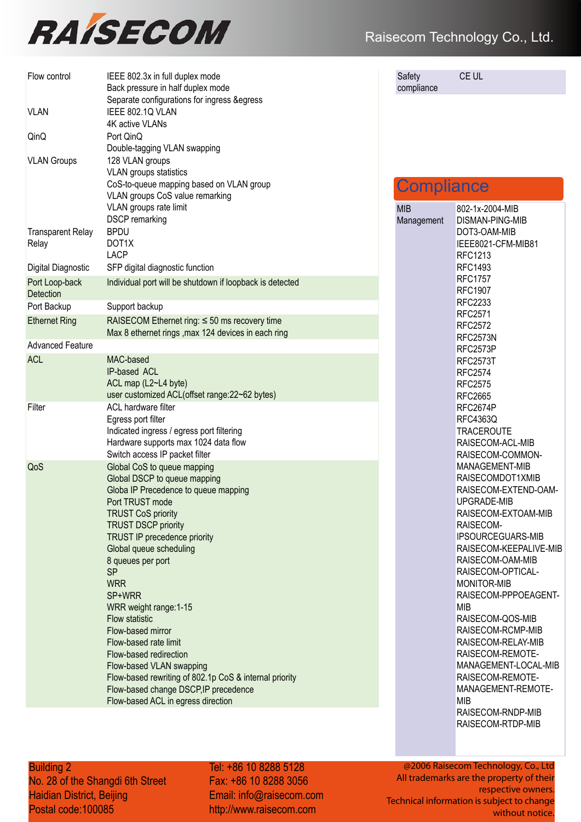

| Flow control                      | IEEE 802.3x in full duplex mode<br>Back pressure in half duplex mode<br>Separate configurations for ingress & egress                                                                                                                                                                                                                                                                                                                                                                                                                                                                                   |
|-----------------------------------|--------------------------------------------------------------------------------------------------------------------------------------------------------------------------------------------------------------------------------------------------------------------------------------------------------------------------------------------------------------------------------------------------------------------------------------------------------------------------------------------------------------------------------------------------------------------------------------------------------|
| <b>VLAN</b>                       | IEEE 802.1Q VLAN<br>4K active VLANs                                                                                                                                                                                                                                                                                                                                                                                                                                                                                                                                                                    |
| QinQ                              | Port QinQ<br>Double-tagging VLAN swapping                                                                                                                                                                                                                                                                                                                                                                                                                                                                                                                                                              |
| <b>VLAN Groups</b>                | 128 VLAN groups<br><b>VLAN</b> groups statistics<br>CoS-to-queue mapping based on VLAN group<br>VLAN groups CoS value remarking<br>VLAN groups rate limit<br><b>DSCP</b> remarking                                                                                                                                                                                                                                                                                                                                                                                                                     |
| <b>Transparent Relay</b><br>Relay | <b>BPDU</b><br>DOT <sub>1</sub> X<br><b>LACP</b>                                                                                                                                                                                                                                                                                                                                                                                                                                                                                                                                                       |
| Digital Diagnostic                | SFP digital diagnostic function                                                                                                                                                                                                                                                                                                                                                                                                                                                                                                                                                                        |
| Port Loop-back<br>Detection       | Individual port will be shutdown if loopback is detected                                                                                                                                                                                                                                                                                                                                                                                                                                                                                                                                               |
| Port Backup                       | Support backup                                                                                                                                                                                                                                                                                                                                                                                                                                                                                                                                                                                         |
| <b>Ethernet Ring</b>              | RAISECOM Ethernet ring: $\leq$ 50 ms recovery time<br>Max 8 ethernet rings, max 124 devices in each ring                                                                                                                                                                                                                                                                                                                                                                                                                                                                                               |
| <b>Advanced Feature</b>           |                                                                                                                                                                                                                                                                                                                                                                                                                                                                                                                                                                                                        |
| <b>ACL</b>                        | MAC-based<br>IP-based ACL<br>ACL map (L2~L4 byte)<br>user customized ACL(offset range:22~62 bytes)                                                                                                                                                                                                                                                                                                                                                                                                                                                                                                     |
| Filter                            | <b>ACL hardware filter</b><br>Egress port filter<br>Indicated ingress / egress port filtering<br>Hardware supports max 1024 data flow<br>Switch access IP packet filter                                                                                                                                                                                                                                                                                                                                                                                                                                |
| QoS                               | Global CoS to queue mapping<br>Global DSCP to queue mapping<br>Globa IP Precedence to queue mapping<br>Port TRUST mode<br><b>TRUST CoS priority</b><br><b>TRUST DSCP priority</b><br><b>TRUST IP precedence priority</b><br>Global queue scheduling<br>8 queues per port<br><b>SP</b><br><b>WRR</b><br>SP+WRR<br>WRR weight range: 1-15<br>Flow statistic<br>Flow-based mirror<br>Flow-based rate limit<br>Flow-based redirection<br>Flow-based VLAN swapping<br>Flow-based rewriting of 802.1p CoS & internal priority<br>Flow-based change DSCP, IP precedence<br>Flow-based ACL in egress direction |

Safety compliance

MIB Manag CE UL

## **Compliance**

|       | 802-1x-2004-MIB          |
|-------|--------------------------|
| ement | DISMAN-PING-MIB          |
|       | DOT3-OAM-MIB             |
|       | IEEE8021-CFM-MIB81       |
|       | RFC1213                  |
|       | <b>RFC1493</b>           |
|       | <b>RFC1757</b>           |
|       | <b>RFC1907</b>           |
|       | RFC2233                  |
|       | RFC2571                  |
|       | <b>RFC2572</b>           |
|       | RFC2573N                 |
|       | RFC2573P                 |
|       | <b>RFC2573T</b>          |
|       | <b>RFC2574</b>           |
|       | <b>RFC2575</b>           |
|       | <b>RFC2665</b>           |
|       | RFC2674P                 |
|       | <b>RFC4363Q</b>          |
|       | <b>TRACEROUTE</b>        |
|       | RAISECOM-ACL-MIB         |
|       | RAISECOM-COMMON-         |
|       | <b>MANAGEMENT-MIB</b>    |
|       | RAISECOMDOT1XMIB         |
|       | RAISECOM-EXTEND-OAM-     |
|       | UPGRADE-MIB              |
|       | RAISECOM-EXTOAM-MIB      |
|       | RAISECOM-                |
|       | <b>IPSOURCEGUARS-MIB</b> |
|       | RAISECOM-KEEPALIVE-MIB   |
|       | RAISECOM-OAM-MIB         |
|       | RAISECOM-OPTICAL-        |
|       | <b>MONITOR-MIB</b>       |
|       | RAISECOM-PPPOEAGENT-     |
|       | MIB                      |
|       | RAISECOM-QOS-MIB         |
|       | RAISECOM-RCMP-MIB        |
|       | RAISECOM-RELAY-MIB       |
|       | RAISECOM-REMOTE-         |
|       | MANAGEMENT-LOCAL-MIB     |
|       | RAISECOM-REMOTE-         |
|       | MANAGEMENT-REMOTE-       |
|       | <b>MIB</b>               |
|       | RAISECOM-RNDP-MIB        |
|       | RAISECOM-RTDP-MIB        |
|       |                          |

**Building 2 Co., Ltd., Ltd., Ltd., Ltd., Ltd., Ltd., Ltd., Ltd., Ltd., Ltd., Ltd., Ltd., Ltd., Ltd., Ltd., Ltd., Ltd., Ltd., Ltd., Ltd., Ltd., Ltd., Ltd., Ltd., Ltd., Ltd., Ltd., Ltd., Ltd., Ltd., Ltd., Ltd., Ltd., Ltd.,** 

Building 2 Tel: +86 10 8288 5128<br>
No. 28 of the Shangdi 6th Street Fax: +86 10 8288 305<br>
Haidian District, Beijing Email: info@raisecom<br>
Postal code:100085 http://www.raisecom.c Haidian District, Beijing Postal code:100085 No. 28 of the Shangdi 6th Street

Tel: +86 10 8288 5128 Fax: +86 10 8288 3056 Fax: +86 10 8288 3056 Fax: +86 10 8288 3056 Email: info@raisecom.com Email: info@raisecom.com Email: info@raisecom.com http://www.raisecom.com http://www.raisecom.com http://www.raisecom.com

@2006 Raisecom Technology, Co., Ltd All trademarks are the property of their respective owners. Technical information is subject to change @2006 Raisecom Technology, Co., LtdAll trademarks are the property of theirrespective owners.Technical information is subject to change without notice.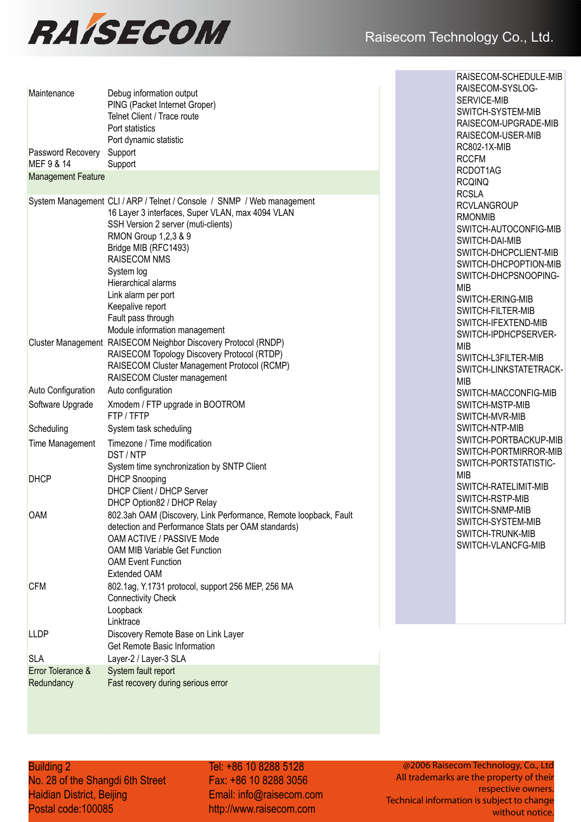

| Maintenance                     | Debug information output<br>PING (Packet Internet Groper)<br>Telnet Client / Trace route<br>Port statistics<br>Port dynamic statistic                                                                                                                                                                                                                                           | RAISECOM-SYSLOG-<br>SERVICE-MIB<br>SWITCH-SYSTEM-MIE<br>RAISECOM-UPGRADI<br>RAISECOM-USER-MIE                                                                                                                                       |  |
|---------------------------------|---------------------------------------------------------------------------------------------------------------------------------------------------------------------------------------------------------------------------------------------------------------------------------------------------------------------------------------------------------------------------------|-------------------------------------------------------------------------------------------------------------------------------------------------------------------------------------------------------------------------------------|--|
| Password Recovery<br>MEF 9 & 14 | Support<br>Support                                                                                                                                                                                                                                                                                                                                                              | RC802-1X-MIB<br><b>RCCFM</b><br>RCDOT1AG                                                                                                                                                                                            |  |
| <b>Management Feature</b>       |                                                                                                                                                                                                                                                                                                                                                                                 | <b>RCQINQ</b>                                                                                                                                                                                                                       |  |
|                                 | System Management CLI / ARP / Telnet / Console / SNMP / Web management<br>16 Layer 3 interfaces, Super VLAN, max 4094 VLAN<br>SSH Version 2 server (muti-clients)<br>RMON Group 1,2,3 & 9<br>Bridge MIB (RFC1493)<br><b>RAISECOM NMS</b><br>System log<br>Hierarchical alarms<br>Link alarm per port<br>Keepalive report<br>Fault pass through<br>Module information management | <b>RCSLA</b><br><b>RCVLANGROUP</b><br><b>RMONMIB</b><br>SWITCH-AUTOCONFI<br>SWITCH-DAI-MIB<br>SWITCH-DHCPCLIENT<br>SWITCH-DHCPOPTIO<br>SWITCH-DHCPSNOOI<br><b>MIB</b><br>SWITCH-ERING-MIB<br>SWITCH-FILTER-MIB<br>SWITCH-IFEXTEND-M |  |
|                                 | Cluster Management RAISECOM Neighbor Discovery Protocol (RNDP)<br>RAISECOM Topology Discovery Protocol (RTDP)<br>RAISECOM Cluster Management Protocol (RCMP)<br>RAISECOM Cluster management                                                                                                                                                                                     | SWITCH-IPDHCPSER'<br><b>MIB</b><br>SWITCH-L3FILTER-MI<br>SWITCH-LINKSTATET<br><b>MIB</b>                                                                                                                                            |  |
| <b>Auto Configuration</b>       | Auto configuration                                                                                                                                                                                                                                                                                                                                                              | SWITCH-MACCONFIG                                                                                                                                                                                                                    |  |
| Software Upgrade                | Xmodem / FTP upgrade in BOOTROM<br>FTP/TFTP                                                                                                                                                                                                                                                                                                                                     | SWITCH-MSTP-MIB<br>SWITCH-MVR-MIB                                                                                                                                                                                                   |  |
| Scheduling                      | System task scheduling                                                                                                                                                                                                                                                                                                                                                          | SWITCH-NTP-MIB                                                                                                                                                                                                                      |  |
| Time Management                 | Timezone / Time modification<br>DST / NTP<br>System time synchronization by SNTP Client                                                                                                                                                                                                                                                                                         | SWITCH-PORTBACKU<br>SWITCH-PORTMIRRC<br>SWITCH-PORTSTATIS                                                                                                                                                                           |  |
| <b>DHCP</b>                     | <b>DHCP Snooping</b><br>DHCP Client / DHCP Server<br>DHCP Option82 / DHCP Relay                                                                                                                                                                                                                                                                                                 | <b>MIB</b><br>SWITCH-RATELIMIT-N<br>SWITCH-RSTP-MIB                                                                                                                                                                                 |  |
| <b>OAM</b>                      | 802.3ah OAM (Discovery, Link Performance, Remote loopback, Fault<br>detection and Performance Stats per OAM standards)<br>OAM ACTIVE / PASSIVE Mode<br>OAM MIB Variable Get Function<br><b>OAM Event Function</b><br><b>Extended OAM</b>                                                                                                                                        | SWITCH-SNMP-MIB<br>SWITCH-SYSTEM-MIE<br>SWITCH-TRUNK-MIB<br>SWITCH-VLANCFG-M                                                                                                                                                        |  |
| <b>CFM</b>                      | 802.1ag, Y.1731 protocol, support 256 MEP, 256 MA<br><b>Connectivity Check</b><br>Loopback<br>Linktrace                                                                                                                                                                                                                                                                         |                                                                                                                                                                                                                                     |  |
| <b>LLDP</b>                     | Discovery Remote Base on Link Layer<br>Get Remote Basic Information                                                                                                                                                                                                                                                                                                             |                                                                                                                                                                                                                                     |  |
| <b>SLA</b>                      | Layer-2 / Layer-3 SLA                                                                                                                                                                                                                                                                                                                                                           |                                                                                                                                                                                                                                     |  |
| Error Tolerance &<br>Redundancy | System fault report<br>Fast recovery during serious error                                                                                                                                                                                                                                                                                                                       |                                                                                                                                                                                                                                     |  |

SERVICE-MIB VITCH-SYSTEM-MIB **ISECOM-UPGRADE-MIB NISECOM-USER-MIB** RC802-1X-MIB CFM RCDOT1AG RCQINQ ንSLA **CVLANGROUP** RMONMIB SWITCH-AUTOCONFIG-MIB VITCH-DAI-MIB VITCH-DHCPCLIENT-MIB VITCH-DHCPOPTION-MIB VITCH-DHCPSNOOPING-MIB VITCH-ERING-MIB SWITCH-FILTER-MIB SWITCH-IFEXTEND-MIB VITCH-IPDHCPSERVER-MIB VITCH-L3FILTER-MIB VITCH-LINKSTATETRACK- $\overline{B}$ **WITCH-MACCONFIG-MIB NITCH-MSTP-MIB** VITCH-MVR-MIB **NITCH-NTP-MIB** SWITCH-PORTBACKUP-MIB SWITCH-PORTMIRROR-MIB VITCH-PORTSTATISTIC- $\overline{\mathsf{B}}$ SWITCH-RATELIMIT-MIB VITCH-RSTP-MIB VITCH-SNMP-MIB VITCH-SYSTEM-MIB VITCH-TRUNK-MIB VITCH-VLANCFG-MIB

RAISECOM-SCHEDULE-MIB

**Building 2 Co., Ltd., Ltd., Ltd., Ltd., Ltd., Ltd.** 

No. 28 of the Shangdi 6th Street Haidian District, Beijing Postal code:100085

Tel: +86 10 8288 5128 Fax: +86 10 8288 3056 Fax: +86 10 8288 3056 Email: info@raisecom.com Email: info@raisecom.com http://www.raisecom.com http://www.raisecom.com

@2006 Raisecom Technology, Co., Ltd All trademarks are the property of their All trademarks respective owners. Technical information is subject to change without notice.